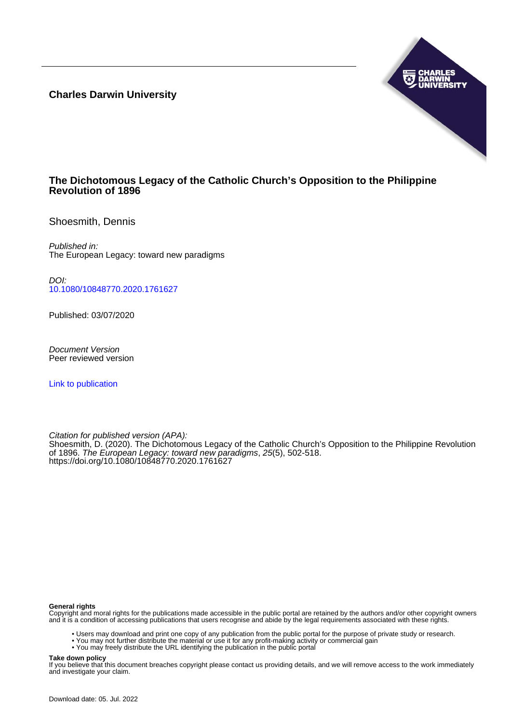**Charles Darwin University**



# **The Dichotomous Legacy of the Catholic Church's Opposition to the Philippine Revolution of 1896**

Shoesmith, Dennis

Published in: The European Legacy: toward new paradigms

DOI: [10.1080/10848770.2020.1761627](https://doi.org/10.1080/10848770.2020.1761627)

Published: 03/07/2020

Document Version Peer reviewed version

[Link to publication](https://researchers.cdu.edu.au/en/publications/88163494-bfc2-4374-8013-013be5916e19)

Citation for published version (APA):

Shoesmith, D. (2020). The Dichotomous Legacy of the Catholic Church's Opposition to the Philippine Revolution of 1896. The European Legacy: toward new paradigms, 25(5), 502-518. <https://doi.org/10.1080/10848770.2020.1761627>

#### **General rights**

Copyright and moral rights for the publications made accessible in the public portal are retained by the authors and/or other copyright owners and it is a condition of accessing publications that users recognise and abide by the legal requirements associated with these rights.

- Users may download and print one copy of any publication from the public portal for the purpose of private study or research.
- You may not further distribute the material or use it for any profit-making activity or commercial gain
- You may freely distribute the URL identifying the publication in the public portal

#### **Take down policy**

If you believe that this document breaches copyright please contact us providing details, and we will remove access to the work immediately and investigate your claim.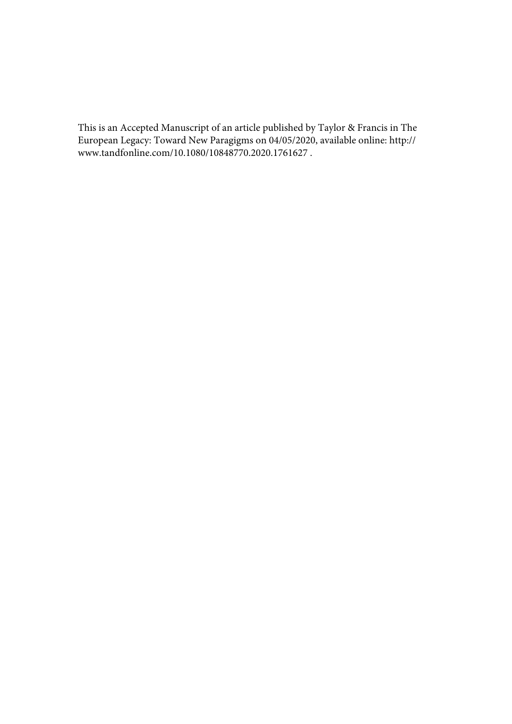This is an Accepted Manuscript of an article published by Taylor & Francis in The European Legacy: Toward New Paragigms on 04/05/2020, available online: http:// www.tandfonline.com/10.1080/10848770.2020.1761627 .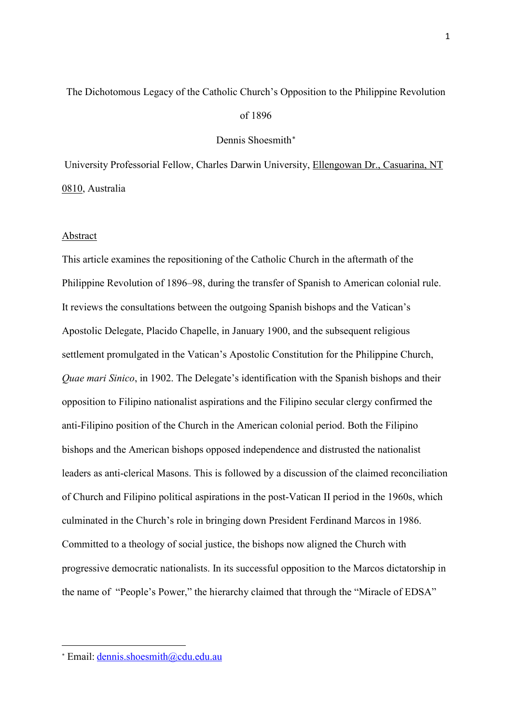# The Dichotomous Legacy of the Catholic Church's Opposition to the Philippine Revolution

# of 1896

## Dennis Shoesmith<sup>\*</sup>

University Professorial Fellow, Charles Darwin University, Ellengowan Dr., Casuarina, NT 0810, Australia

#### Abstract

This article examines the repositioning of the Catholic Church in the aftermath of the Philippine Revolution of 1896–98, during the transfer of Spanish to American colonial rule. It reviews the consultations between the outgoing Spanish bishops and the Vatican's Apostolic Delegate, Placido Chapelle, in January 1900, and the subsequent religious settlement promulgated in the Vatican's Apostolic Constitution for the Philippine Church, *Quae mari Sinico*, in 1902. The Delegate's identification with the Spanish bishops and their opposition to Filipino nationalist aspirations and the Filipino secular clergy confirmed the anti-Filipino position of the Church in the American colonial period. Both the Filipino bishops and the American bishops opposed independence and distrusted the nationalist leaders as anti-clerical Masons. This is followed by a discussion of the claimed reconciliation of Church and Filipino political aspirations in the post-Vatican II period in the 1960s, which culminated in the Church's role in bringing down President Ferdinand Marcos in 1986. Committed to a theology of social justice, the bishops now aligned the Church with progressive democratic nationalists. In its successful opposition to the Marcos dictatorship in the name of "People's Power," the hierarchy claimed that through the "Miracle of EDSA"

<u>.</u>

<span id="page-2-0"></span><sup>∗</sup> Email: [dennis.shoesmith@cdu.edu.au](mailto:dennis.shoesmith@cdu.edu.au)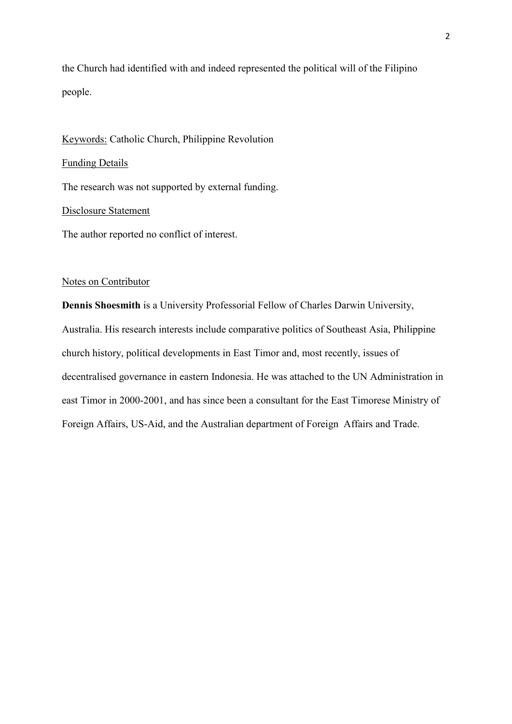the Church had identified with and indeed represented the political will of the Filipino people.

Keywords: Catholic Church, Philippine Revolution Funding Details The research was not supported by external funding. Disclosure Statement

The author reported no conflict of interest.

# Notes on Contributor

**Dennis Shoesmith** is a University Professorial Fellow of Charles Darwin University, Australia. His research interests include comparative politics of Southeast Asia, Philippine church history, political developments in East Timor and, most recently, issues of decentralised governance in eastern Indonesia. He was attached to the UN Administration in east Timor in 2000-2001, and has since been a consultant for the East Timorese Ministry of Foreign Affairs, US-Aid, and the Australian department of Foreign Affairs and Trade.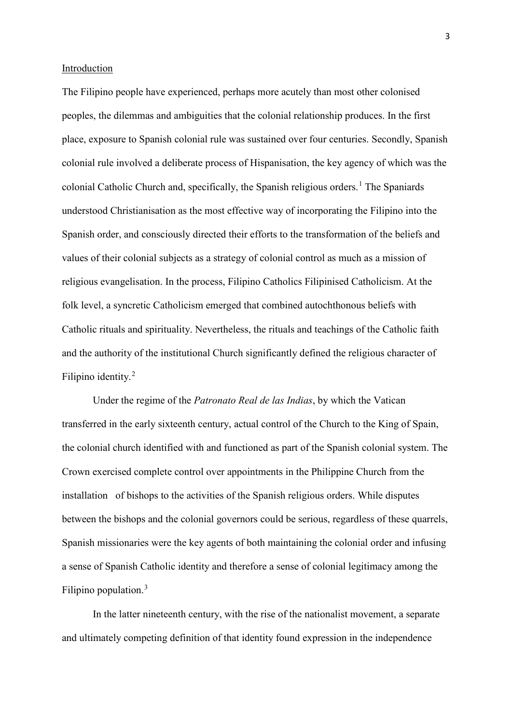# Introduction

The Filipino people have experienced, perhaps more acutely than most other colonised peoples, the dilemmas and ambiguities that the colonial relationship produces. In the first place, exposure to Spanish colonial rule was sustained over four centuries. Secondly, Spanish colonial rule involved a deliberate process of Hispanisation, the key agency of which was the colonial Catholic Church and, specifically, the Spanish religious orders. [1](#page-29-0) The Spaniards understood Christianisation as the most effective way of incorporating the Filipino into the Spanish order, and consciously directed their efforts to the transformation of the beliefs and values of their colonial subjects as a strategy of colonial control as much as a mission of religious evangelisation. In the process, Filipino Catholics Filipinised Catholicism. At the folk level, a syncretic Catholicism emerged that combined autochthonous beliefs with Catholic rituals and spirituality. Nevertheless, the rituals and teachings of the Catholic faith and the authority of the institutional Church significantly defined the religious character of Filipino identity.<sup>[2](#page-30-0)</sup>

Under the regime of the *Patronato Real de las Indias*, by which the Vatican transferred in the early sixteenth century, actual control of the Church to the King of Spain, the colonial church identified with and functioned as part of the Spanish colonial system. The Crown exercised complete control over appointments in the Philippine Church from the installation of bishops to the activities of the Spanish religious orders. While disputes between the bishops and the colonial governors could be serious, regardless of these quarrels, Spanish missionaries were the key agents of both maintaining the colonial order and infusing a sense of Spanish Catholic identity and therefore a sense of colonial legitimacy among the Filipino population.<sup>[3](#page-30-1)</sup>

In the latter nineteenth century, with the rise of the nationalist movement, a separate and ultimately competing definition of that identity found expression in the independence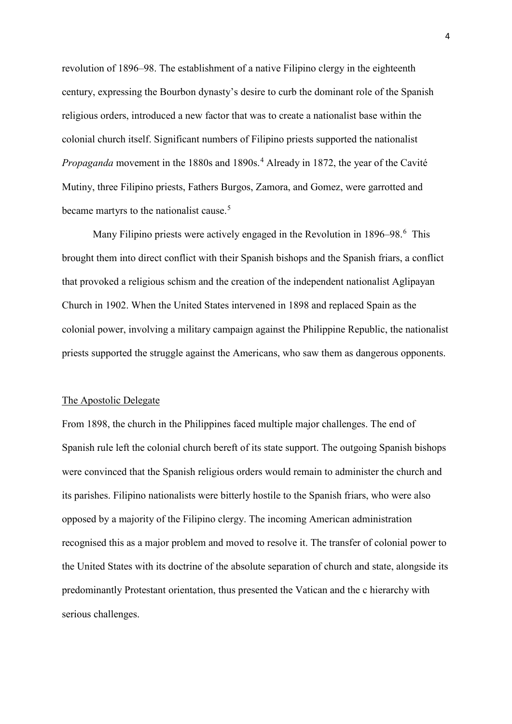revolution of 1896–98. The establishment of a native Filipino clergy in the eighteenth century, expressing the Bourbon dynasty's desire to curb the dominant role of the Spanish religious orders, introduced a new factor that was to create a nationalist base within the colonial church itself. Significant numbers of Filipino priests supported the nationalist *Propaganda* movement in the 1880s and 1890s. [4](#page-30-2) Already in 1872, the year of the Cavité Mutiny, three Filipino priests, Fathers Burgos, Zamora, and Gomez, were garrotted and became martyrs to the nationalist cause.<sup>[5](#page-30-3)</sup>

Many Filipino priests were actively engaged in the Revolution in 189[6](#page-30-4)–98.<sup>6</sup> This brought them into direct conflict with their Spanish bishops and the Spanish friars, a conflict that provoked a religious schism and the creation of the independent nationalist Aglipayan Church in 1902. When the United States intervened in 1898 and replaced Spain as the colonial power, involving a military campaign against the Philippine Republic, the nationalist priests supported the struggle against the Americans, who saw them as dangerous opponents.

## The Apostolic Delegate

From 1898, the church in the Philippines faced multiple major challenges. The end of Spanish rule left the colonial church bereft of its state support. The outgoing Spanish bishops were convinced that the Spanish religious orders would remain to administer the church and its parishes. Filipino nationalists were bitterly hostile to the Spanish friars, who were also opposed by a majority of the Filipino clergy. The incoming American administration recognised this as a major problem and moved to resolve it. The transfer of colonial power to the United States with its doctrine of the absolute separation of church and state, alongside its predominantly Protestant orientation, thus presented the Vatican and the c hierarchy with serious challenges.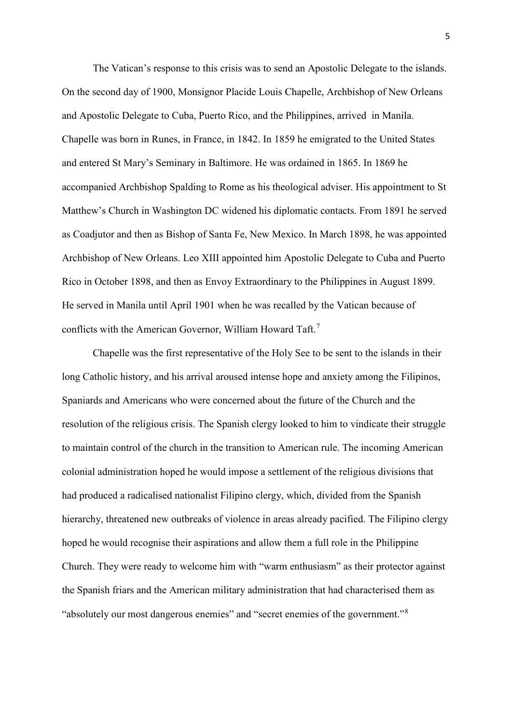The Vatican's response to this crisis was to send an Apostolic Delegate to the islands. On the second day of 1900, Monsignor Placide Louis Chapelle, Archbishop of New Orleans and Apostolic Delegate to Cuba, Puerto Rico, and the Philippines, arrived in Manila. Chapelle was born in Runes, in France, in 1842. In 1859 he emigrated to the United States and entered St Mary's Seminary in Baltimore. He was ordained in 1865. In 1869 he accompanied Archbishop Spalding to Rome as his theological adviser. His appointment to St Matthew's Church in Washington DC widened his diplomatic contacts. From 1891 he served as Coadjutor and then as Bishop of Santa Fe, New Mexico. In March 1898, he was appointed Archbishop of New Orleans. Leo XIII appointed him Apostolic Delegate to Cuba and Puerto Rico in October 1898, and then as Envoy Extraordinary to the Philippines in August 1899. He served in Manila until April 1901 when he was recalled by the Vatican because of conflicts with the American Governor, William Howard Taft.<sup>[7](#page-30-5)</sup>

Chapelle was the first representative of the Holy See to be sent to the islands in their long Catholic history, and his arrival aroused intense hope and anxiety among the Filipinos, Spaniards and Americans who were concerned about the future of the Church and the resolution of the religious crisis. The Spanish clergy looked to him to vindicate their struggle to maintain control of the church in the transition to American rule. The incoming American colonial administration hoped he would impose a settlement of the religious divisions that had produced a radicalised nationalist Filipino clergy, which, divided from the Spanish hierarchy, threatened new outbreaks of violence in areas already pacified. The Filipino clergy hoped he would recognise their aspirations and allow them a full role in the Philippine Church. They were ready to welcome him with "warm enthusiasm" as their protector against the Spanish friars and the American military administration that had characterised them as "absolutely our most dangerous enemies" and "secret enemies of the government."<sup>[8](#page-30-6)</sup>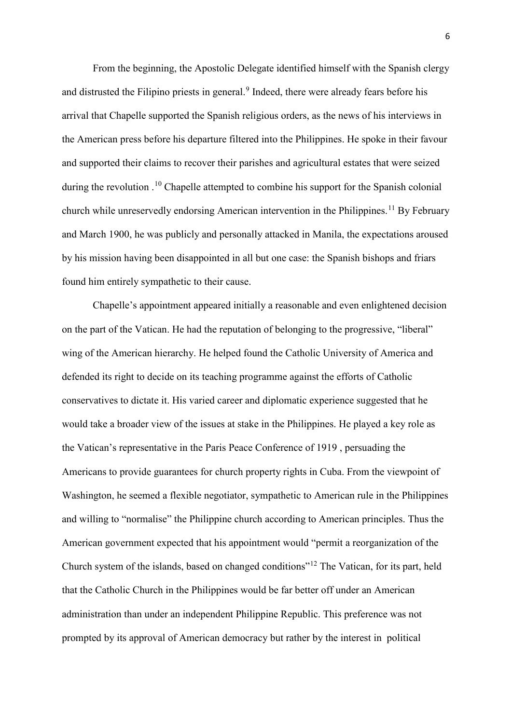From the beginning, the Apostolic Delegate identified himself with the Spanish clergy and distrusted the Filipino priests in general. [9](#page-30-7) Indeed, there were already fears before his arrival that Chapelle supported the Spanish religious orders, as the news of his interviews in the American press before his departure filtered into the Philippines. He spoke in their favour and supported their claims to recover their parishes and agricultural estates that were seized during the revolution .<sup>[10](#page-30-8)</sup> Chapelle attempted to combine his support for the Spanish colonial church while unreservedly endorsing American intervention in the Philippines.<sup>[11](#page-30-9)</sup> By February and March 1900, he was publicly and personally attacked in Manila, the expectations aroused by his mission having been disappointed in all but one case: the Spanish bishops and friars found him entirely sympathetic to their cause.

Chapelle's appointment appeared initially a reasonable and even enlightened decision on the part of the Vatican. He had the reputation of belonging to the progressive, "liberal" wing of the American hierarchy. He helped found the Catholic University of America and defended its right to decide on its teaching programme against the efforts of Catholic conservatives to dictate it. His varied career and diplomatic experience suggested that he would take a broader view of the issues at stake in the Philippines. He played a key role as the Vatican's representative in the Paris Peace Conference of 1919 , persuading the Americans to provide guarantees for church property rights in Cuba. From the viewpoint of Washington, he seemed a flexible negotiator, sympathetic to American rule in the Philippines and willing to "normalise" the Philippine church according to American principles. Thus the American government expected that his appointment would "permit a reorganization of the Church system of the islands, based on changed conditions"[12](#page-30-10) The Vatican, for its part, held that the Catholic Church in the Philippines would be far better off under an American administration than under an independent Philippine Republic. This preference was not prompted by its approval of American democracy but rather by the interest in political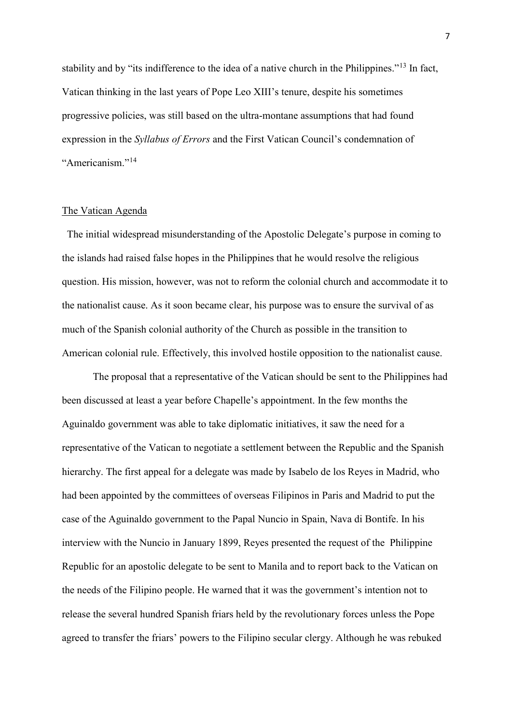stability and by "its indifference to the idea of a native church in the Philippines."<sup>[13](#page-30-11)</sup> In fact, Vatican thinking in the last years of Pope Leo XIII's tenure, despite his sometimes progressive policies, was still based on the ultra-montane assumptions that had found expression in the *Syllabus of Errors* and the First Vatican Council's condemnation of "Americanism."[14](#page-30-12)

# The Vatican Agenda

The initial widespread misunderstanding of the Apostolic Delegate's purpose in coming to the islands had raised false hopes in the Philippines that he would resolve the religious question. His mission, however, was not to reform the colonial church and accommodate it to the nationalist cause. As it soon became clear, his purpose was to ensure the survival of as much of the Spanish colonial authority of the Church as possible in the transition to American colonial rule. Effectively, this involved hostile opposition to the nationalist cause.

The proposal that a representative of the Vatican should be sent to the Philippines had been discussed at least a year before Chapelle's appointment. In the few months the Aguinaldo government was able to take diplomatic initiatives, it saw the need for a representative of the Vatican to negotiate a settlement between the Republic and the Spanish hierarchy. The first appeal for a delegate was made by Isabelo de los Reyes in Madrid, who had been appointed by the committees of overseas Filipinos in Paris and Madrid to put the case of the Aguinaldo government to the Papal Nuncio in Spain, Nava di Bontife. In his interview with the Nuncio in January 1899, Reyes presented the request of the Philippine Republic for an apostolic delegate to be sent to Manila and to report back to the Vatican on the needs of the Filipino people. He warned that it was the government's intention not to release the several hundred Spanish friars held by the revolutionary forces unless the Pope agreed to transfer the friars' powers to the Filipino secular clergy. Although he was rebuked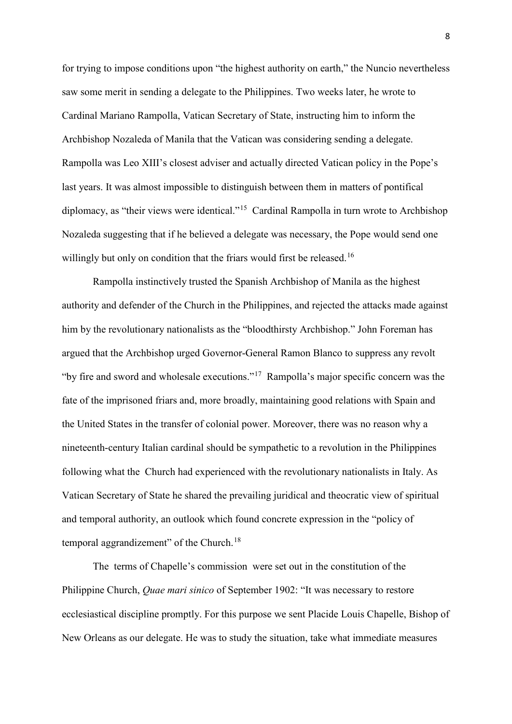for trying to impose conditions upon "the highest authority on earth," the Nuncio nevertheless saw some merit in sending a delegate to the Philippines. Two weeks later, he wrote to Cardinal Mariano Rampolla, Vatican Secretary of State, instructing him to inform the Archbishop Nozaleda of Manila that the Vatican was considering sending a delegate. Rampolla was Leo XIII's closest adviser and actually directed Vatican policy in the Pope's last years. It was almost impossible to distinguish between them in matters of pontifical diplomacy, as "their views were identical."<sup>15</sup> Cardinal Rampolla in turn wrote to Archbishop Nozaleda suggesting that if he believed a delegate was necessary, the Pope would send one willingly but only on condition that the friars would first be released.<sup>[16](#page-30-14)</sup>

Rampolla instinctively trusted the Spanish Archbishop of Manila as the highest authority and defender of the Church in the Philippines, and rejected the attacks made against him by the revolutionary nationalists as the "bloodthirsty Archbishop." John Foreman has argued that the Archbishop urged Governor-General Ramon Blanco to suppress any revolt "by fire and sword and wholesale executions."[17](#page-30-15) Rampolla's major specific concern was the fate of the imprisoned friars and, more broadly, maintaining good relations with Spain and the United States in the transfer of colonial power. Moreover, there was no reason why a nineteenth-century Italian cardinal should be sympathetic to a revolution in the Philippines following what the Church had experienced with the revolutionary nationalists in Italy. As Vatican Secretary of State he shared the prevailing juridical and theocratic view of spiritual and temporal authority, an outlook which found concrete expression in the "policy of temporal aggrandizement" of the Church.<sup>[18](#page-30-16)</sup>

The terms of Chapelle's commission were set out in the constitution of the Philippine Church, *Quae mari sinico* of September 1902: "It was necessary to restore ecclesiastical discipline promptly. For this purpose we sent Placide Louis Chapelle, Bishop of New Orleans as our delegate. He was to study the situation, take what immediate measures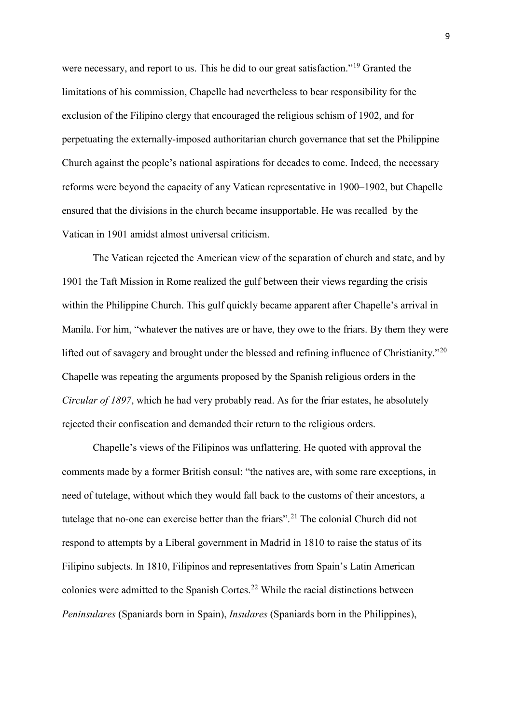were necessary, and report to us. This he did to our great satisfaction."<sup>[19](#page-30-17)</sup> Granted the limitations of his commission, Chapelle had nevertheless to bear responsibility for the exclusion of the Filipino clergy that encouraged the religious schism of 1902, and for perpetuating the externally-imposed authoritarian church governance that set the Philippine Church against the people's national aspirations for decades to come. Indeed, the necessary reforms were beyond the capacity of any Vatican representative in 1900–1902, but Chapelle ensured that the divisions in the church became insupportable. He was recalled by the Vatican in 1901 amidst almost universal criticism.

The Vatican rejected the American view of the separation of church and state, and by 1901 the Taft Mission in Rome realized the gulf between their views regarding the crisis within the Philippine Church. This gulf quickly became apparent after Chapelle's arrival in Manila. For him, "whatever the natives are or have, they owe to the friars. By them they were lifted out of savagery and brought under the blessed and refining influence of Christianity."<sup>[20](#page-30-18)</sup> Chapelle was repeating the arguments proposed by the Spanish religious orders in the *Circular of 1897*, which he had very probably read. As for the friar estates, he absolutely rejected their confiscation and demanded their return to the religious orders.

Chapelle's views of the Filipinos was unflattering. He quoted with approval the comments made by a former British consul: "the natives are, with some rare exceptions, in need of tutelage, without which they would fall back to the customs of their ancestors, a tutelage that no-one can exercise better than the friars".<sup>[21](#page-30-19)</sup> The colonial Church did not respond to attempts by a Liberal government in Madrid in 1810 to raise the status of its Filipino subjects. In 1810, Filipinos and representatives from Spain's Latin American colonies were admitted to the Spanish Cortes.[22](#page-31-0) While the racial distinctions between *Peninsulares* (Spaniards born in Spain), *Insulares* (Spaniards born in the Philippines),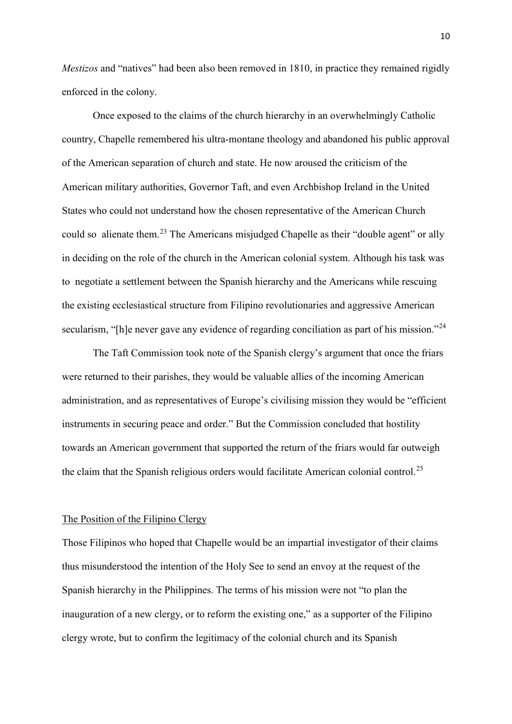*Mestizos* and "natives" had been also been removed in 1810, in practice they remained rigidly enforced in the colony.

Once exposed to the claims of the church hierarchy in an overwhelmingly Catholic country, Chapelle remembered his ultra-montane theology and abandoned his public approval of the American separation of church and state. He now aroused the criticism of the American military authorities, Governor Taft, and even Archbishop Ireland in the United States who could not understand how the chosen representative of the American Church could so alienate them.<sup>[23](#page-31-1)</sup> The Americans misjudged Chapelle as their "double agent" or ally in deciding on the role of the church in the American colonial system. Although his task was to negotiate a settlement between the Spanish hierarchy and the Americans while rescuing the existing ecclesiastical structure from Filipino revolutionaries and aggressive American secularism, "[h]e never gave any evidence of regarding conciliation as part of his mission."<sup>[24](#page-31-2)</sup>

The Taft Commission took note of the Spanish clergy's argument that once the friars were returned to their parishes, they would be valuable allies of the incoming American administration, and as representatives of Europe's civilising mission they would be "efficient instruments in securing peace and order." But the Commission concluded that hostility towards an American government that supported the return of the friars would far outweigh the claim that the Spanish religious orders would facilitate American colonial control.<sup>[25](#page-31-3)</sup>

# The Position of the Filipino Clergy

Those Filipinos who hoped that Chapelle would be an impartial investigator of their claims thus misunderstood the intention of the Holy See to send an envoy at the request of the Spanish hierarchy in the Philippines. The terms of his mission were not "to plan the inauguration of a new clergy, or to reform the existing one," as a supporter of the Filipino clergy wrote, but to confirm the legitimacy of the colonial church and its Spanish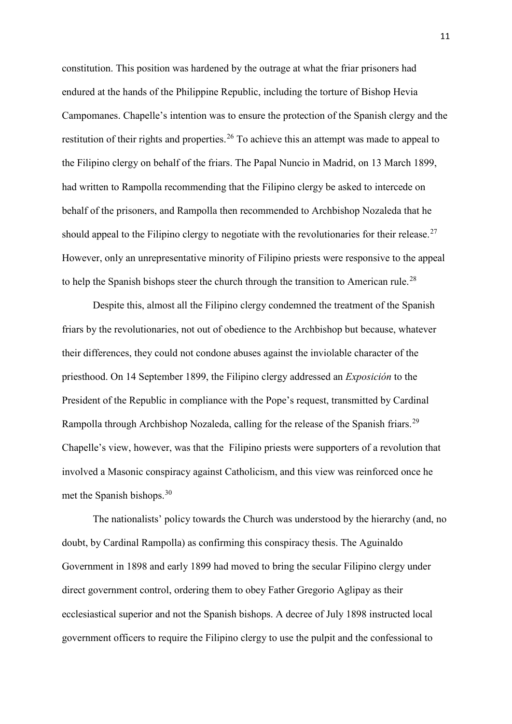constitution. This position was hardened by the outrage at what the friar prisoners had endured at the hands of the Philippine Republic, including the torture of Bishop Hevia Campomanes. Chapelle's intention was to ensure the protection of the Spanish clergy and the restitution of their rights and properties.<sup>[26](#page-31-4)</sup> To achieve this an attempt was made to appeal to the Filipino clergy on behalf of the friars. The Papal Nuncio in Madrid, on 13 March 1899, had written to Rampolla recommending that the Filipino clergy be asked to intercede on behalf of the prisoners, and Rampolla then recommended to Archbishop Nozaleda that he should appeal to the Filipino clergy to negotiate with the revolutionaries for their release.<sup>[27](#page-31-5)</sup> However, only an unrepresentative minority of Filipino priests were responsive to the appeal to help the Spanish bishops steer the church through the transition to American rule.<sup>[28](#page-31-6)</sup>

Despite this, almost all the Filipino clergy condemned the treatment of the Spanish friars by the revolutionaries, not out of obedience to the Archbishop but because, whatever their differences, they could not condone abuses against the inviolable character of the priesthood. On 14 September 1899, the Filipino clergy addressed an *Exposición* to the President of the Republic in compliance with the Pope's request, transmitted by Cardinal Rampolla through Archbishop Nozaleda, calling for the release of the Spanish friars.<sup>[29](#page-31-7)</sup> Chapelle's view, however, was that the Filipino priests were supporters of a revolution that involved a Masonic conspiracy against Catholicism, and this view was reinforced once he met the Spanish bishops. [30](#page-31-8)

The nationalists' policy towards the Church was understood by the hierarchy (and, no doubt, by Cardinal Rampolla) as confirming this conspiracy thesis. The Aguinaldo Government in 1898 and early 1899 had moved to bring the secular Filipino clergy under direct government control, ordering them to obey Father Gregorio Aglipay as their ecclesiastical superior and not the Spanish bishops. A decree of July 1898 instructed local government officers to require the Filipino clergy to use the pulpit and the confessional to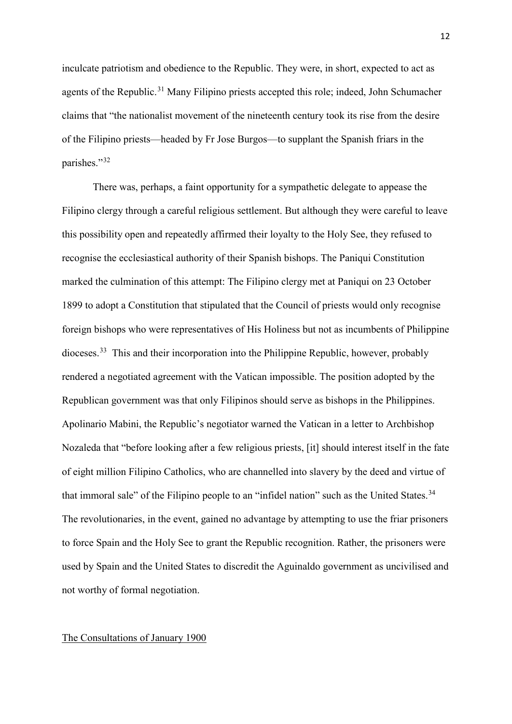inculcate patriotism and obedience to the Republic. They were, in short, expected to act as agents of the Republic.<sup>[31](#page-31-9)</sup> Many Filipino priests accepted this role; indeed, John Schumacher claims that "the nationalist movement of the nineteenth century took its rise from the desire of the Filipino priests—headed by Fr Jose Burgos—to supplant the Spanish friars in the parishes."[32](#page-31-10)

There was, perhaps, a faint opportunity for a sympathetic delegate to appease the Filipino clergy through a careful religious settlement. But although they were careful to leave this possibility open and repeatedly affirmed their loyalty to the Holy See, they refused to recognise the ecclesiastical authority of their Spanish bishops. The Paniqui Constitution marked the culmination of this attempt: The Filipino clergy met at Paniqui on 23 October 1899 to adopt a Constitution that stipulated that the Council of priests would only recognise foreign bishops who were representatives of His Holiness but not as incumbents of Philippine dioceses.[33](#page-31-11) This and their incorporation into the Philippine Republic, however, probably rendered a negotiated agreement with the Vatican impossible. The position adopted by the Republican government was that only Filipinos should serve as bishops in the Philippines. Apolinario Mabini, the Republic's negotiator warned the Vatican in a letter to Archbishop Nozaleda that "before looking after a few religious priests, [it] should interest itself in the fate of eight million Filipino Catholics, who are channelled into slavery by the deed and virtue of that immoral sale" of the Filipino people to an "infidel nation" such as the United States.<sup>[34](#page-31-12)</sup> The revolutionaries, in the event, gained no advantage by attempting to use the friar prisoners to force Spain and the Holy See to grant the Republic recognition. Rather, the prisoners were used by Spain and the United States to discredit the Aguinaldo government as uncivilised and not worthy of formal negotiation.

# The Consultations of January 1900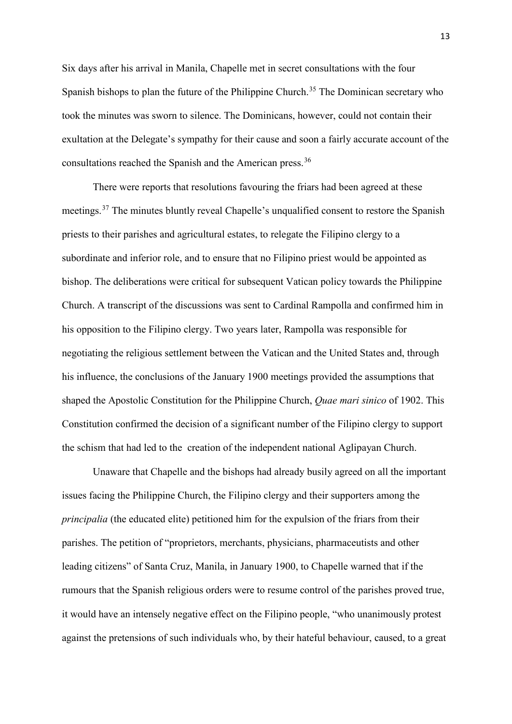Six days after his arrival in Manila, Chapelle met in secret consultations with the four Spanish bishops to plan the future of the Philippine Church.<sup>[35](#page-31-13)</sup> The Dominican secretary who took the minutes was sworn to silence. The Dominicans, however, could not contain their exultation at the Delegate's sympathy for their cause and soon a fairly accurate account of the consultations reached the Spanish and the American press.<sup>[36](#page-31-14)</sup>

There were reports that resolutions favouring the friars had been agreed at these meetings.<sup>[37](#page-31-15)</sup> The minutes bluntly reveal Chapelle's unqualified consent to restore the Spanish priests to their parishes and agricultural estates, to relegate the Filipino clergy to a subordinate and inferior role, and to ensure that no Filipino priest would be appointed as bishop. The deliberations were critical for subsequent Vatican policy towards the Philippine Church. A transcript of the discussions was sent to Cardinal Rampolla and confirmed him in his opposition to the Filipino clergy. Two years later, Rampolla was responsible for negotiating the religious settlement between the Vatican and the United States and, through his influence, the conclusions of the January 1900 meetings provided the assumptions that shaped the Apostolic Constitution for the Philippine Church, *Quae mari sinico* of 1902. This Constitution confirmed the decision of a significant number of the Filipino clergy to support the schism that had led to the creation of the independent national Aglipayan Church.

Unaware that Chapelle and the bishops had already busily agreed on all the important issues facing the Philippine Church, the Filipino clergy and their supporters among the *principalia* (the educated elite) petitioned him for the expulsion of the friars from their parishes. The petition of "proprietors, merchants, physicians, pharmaceutists and other leading citizens" of Santa Cruz, Manila, in January 1900, to Chapelle warned that if the rumours that the Spanish religious orders were to resume control of the parishes proved true, it would have an intensely negative effect on the Filipino people, "who unanimously protest against the pretensions of such individuals who, by their hateful behaviour, caused, to a great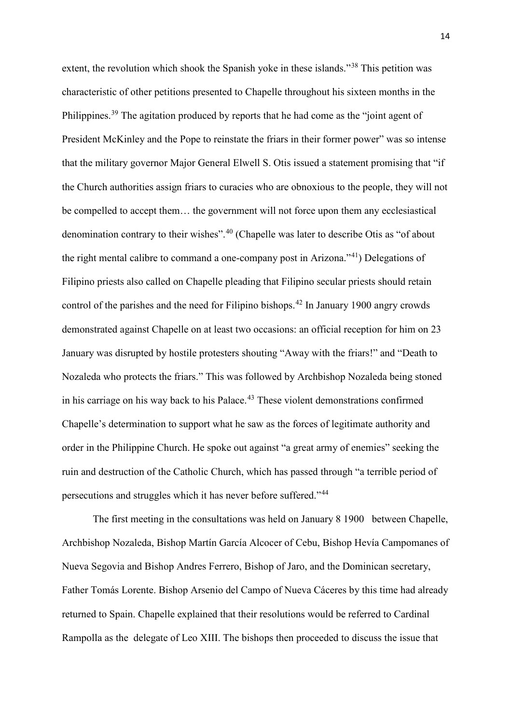extent, the revolution which shook the Spanish yoke in these islands."<sup>[38](#page-32-0)</sup> This petition was characteristic of other petitions presented to Chapelle throughout his sixteen months in the Philippines.<sup>[39](#page-32-1)</sup> The agitation produced by reports that he had come as the "joint agent of President McKinley and the Pope to reinstate the friars in their former power" was so intense that the military governor Major General Elwell S. Otis issued a statement promising that "if the Church authorities assign friars to curacies who are obnoxious to the people, they will not be compelled to accept them… the government will not force upon them any ecclesiastical denomination contrary to their wishes".<sup>[40](#page-32-2)</sup> (Chapelle was later to describe Otis as "of about the right mental calibre to command a one-company post in Arizona."[41\)](#page-32-3) Delegations of Filipino priests also called on Chapelle pleading that Filipino secular priests should retain control of the parishes and the need for Filipino bishops. [42](#page-32-4) In January 1900 angry crowds demonstrated against Chapelle on at least two occasions: an official reception for him on 23 January was disrupted by hostile protesters shouting "Away with the friars!" and "Death to Nozaleda who protects the friars." This was followed by Archbishop Nozaleda being stoned in his carriage on his way back to his Palace.<sup>[43](#page-32-5)</sup> These violent demonstrations confirmed Chapelle's determination to support what he saw as the forces of legitimate authority and order in the Philippine Church. He spoke out against "a great army of enemies" seeking the ruin and destruction of the Catholic Church, which has passed through "a terrible period of persecutions and struggles which it has never before suffered."[44](#page-32-6)

The first meeting in the consultations was held on January 8 1900 between Chapelle, Archbishop Nozaleda, Bishop Martín García Alcocer of Cebu, Bishop Hevía Campomanes of Nueva Segovia and Bishop Andres Ferrero, Bishop of Jaro, and the Dominican secretary, Father Tomás Lorente. Bishop Arsenio del Campo of Nueva Cáceres by this time had already returned to Spain. Chapelle explained that their resolutions would be referred to Cardinal Rampolla as the delegate of Leo XIII. The bishops then proceeded to discuss the issue that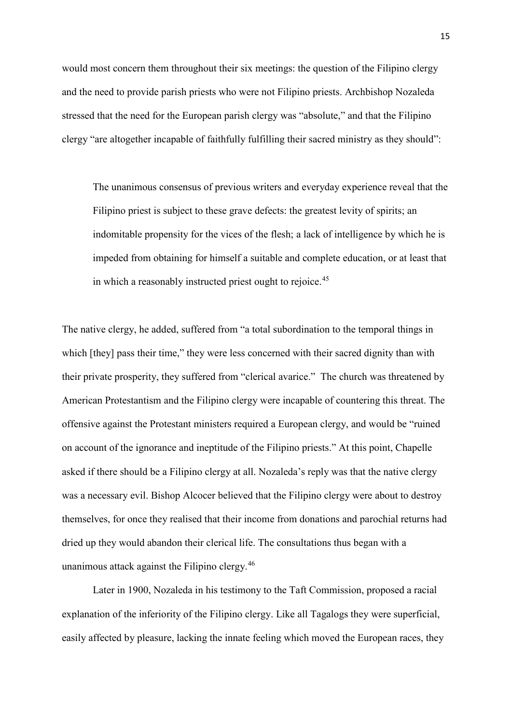would most concern them throughout their six meetings: the question of the Filipino clergy and the need to provide parish priests who were not Filipino priests. Archbishop Nozaleda stressed that the need for the European parish clergy was "absolute," and that the Filipino clergy "are altogether incapable of faithfully fulfilling their sacred ministry as they should":

The unanimous consensus of previous writers and everyday experience reveal that the Filipino priest is subject to these grave defects: the greatest levity of spirits; an indomitable propensity for the vices of the flesh; a lack of intelligence by which he is impeded from obtaining for himself a suitable and complete education, or at least that in which a reasonably instructed priest ought to rejoice.<sup>[45](#page-32-7)</sup>

The native clergy, he added, suffered from "a total subordination to the temporal things in which [they] pass their time," they were less concerned with their sacred dignity than with their private prosperity, they suffered from "clerical avarice." The church was threatened by American Protestantism and the Filipino clergy were incapable of countering this threat. The offensive against the Protestant ministers required a European clergy, and would be "ruined on account of the ignorance and ineptitude of the Filipino priests." At this point, Chapelle asked if there should be a Filipino clergy at all. Nozaleda's reply was that the native clergy was a necessary evil. Bishop Alcocer believed that the Filipino clergy were about to destroy themselves, for once they realised that their income from donations and parochial returns had dried up they would abandon their clerical life. The consultations thus began with a unanimous attack against the Filipino clergy.[46](#page-32-8)

Later in 1900, Nozaleda in his testimony to the Taft Commission, proposed a racial explanation of the inferiority of the Filipino clergy. Like all Tagalogs they were superficial, easily affected by pleasure, lacking the innate feeling which moved the European races, they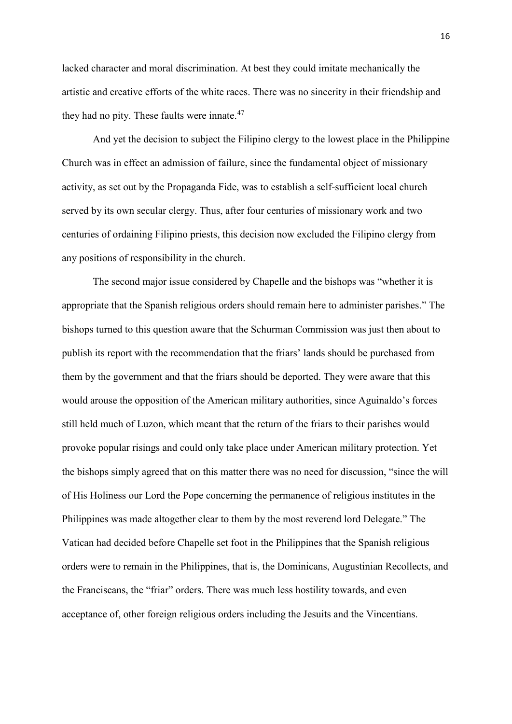lacked character and moral discrimination. At best they could imitate mechanically the artistic and creative efforts of the white races. There was no sincerity in their friendship and they had no pity. These faults were innate.<sup>[47](#page-32-9)</sup>

And yet the decision to subject the Filipino clergy to the lowest place in the Philippine Church was in effect an admission of failure, since the fundamental object of missionary activity, as set out by the Propaganda Fide, was to establish a self-sufficient local church served by its own secular clergy. Thus, after four centuries of missionary work and two centuries of ordaining Filipino priests, this decision now excluded the Filipino clergy from any positions of responsibility in the church.

The second major issue considered by Chapelle and the bishops was "whether it is appropriate that the Spanish religious orders should remain here to administer parishes." The bishops turned to this question aware that the Schurman Commission was just then about to publish its report with the recommendation that the friars' lands should be purchased from them by the government and that the friars should be deported. They were aware that this would arouse the opposition of the American military authorities, since Aguinaldo's forces still held much of Luzon, which meant that the return of the friars to their parishes would provoke popular risings and could only take place under American military protection. Yet the bishops simply agreed that on this matter there was no need for discussion, "since the will of His Holiness our Lord the Pope concerning the permanence of religious institutes in the Philippines was made altogether clear to them by the most reverend lord Delegate." The Vatican had decided before Chapelle set foot in the Philippines that the Spanish religious orders were to remain in the Philippines, that is, the Dominicans, Augustinian Recollects, and the Franciscans, the "friar" orders. There was much less hostility towards, and even acceptance of, other foreign religious orders including the Jesuits and the Vincentians.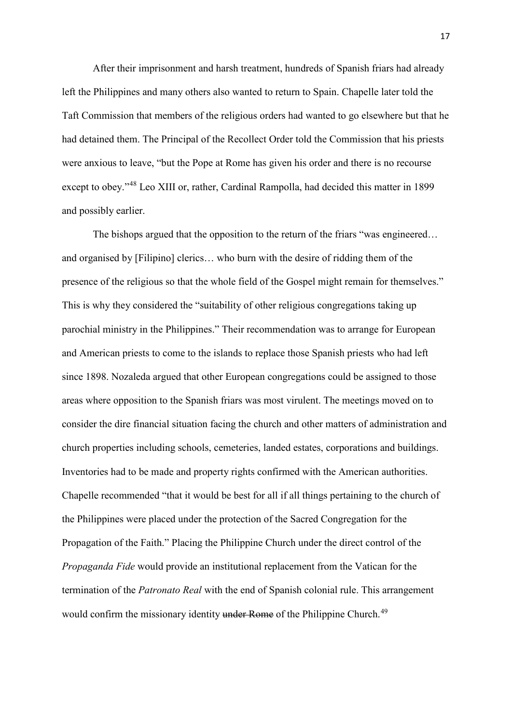After their imprisonment and harsh treatment, hundreds of Spanish friars had already left the Philippines and many others also wanted to return to Spain. Chapelle later told the Taft Commission that members of the religious orders had wanted to go elsewhere but that he had detained them. The Principal of the Recollect Order told the Commission that his priests were anxious to leave, "but the Pope at Rome has given his order and there is no recourse except to obey."[48](#page-32-10) Leo XIII or, rather, Cardinal Rampolla, had decided this matter in 1899 and possibly earlier.

The bishops argued that the opposition to the return of the friars "was engineered... and organised by [Filipino] clerics… who burn with the desire of ridding them of the presence of the religious so that the whole field of the Gospel might remain for themselves." This is why they considered the "suitability of other religious congregations taking up parochial ministry in the Philippines." Their recommendation was to arrange for European and American priests to come to the islands to replace those Spanish priests who had left since 1898. Nozaleda argued that other European congregations could be assigned to those areas where opposition to the Spanish friars was most virulent. The meetings moved on to consider the dire financial situation facing the church and other matters of administration and church properties including schools, cemeteries, landed estates, corporations and buildings. Inventories had to be made and property rights confirmed with the American authorities. Chapelle recommended "that it would be best for all if all things pertaining to the church of the Philippines were placed under the protection of the Sacred Congregation for the Propagation of the Faith." Placing the Philippine Church under the direct control of the *Propaganda Fide* would provide an institutional replacement from the Vatican for the termination of the *Patronato Real* with the end of Spanish colonial rule. This arrangement would confirm the missionary identity under Rome of the Philippine Church.<sup>[49](#page-32-11)</sup>

17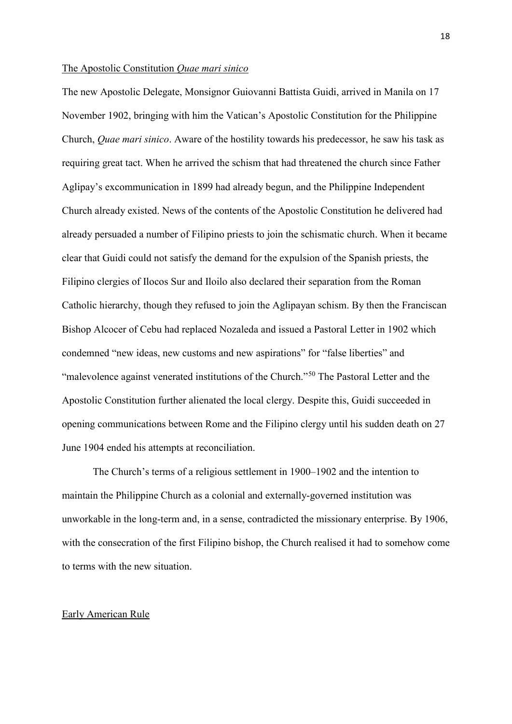#### The Apostolic Constitution *Quae mari sinico*

The new Apostolic Delegate, Monsignor Guiovanni Battista Guidi, arrived in Manila on 17 November 1902, bringing with him the Vatican's Apostolic Constitution for the Philippine Church, *Quae mari sinico*. Aware of the hostility towards his predecessor, he saw his task as requiring great tact. When he arrived the schism that had threatened the church since Father Aglipay's excommunication in 1899 had already begun, and the Philippine Independent Church already existed. News of the contents of the Apostolic Constitution he delivered had already persuaded a number of Filipino priests to join the schismatic church. When it became clear that Guidi could not satisfy the demand for the expulsion of the Spanish priests, the Filipino clergies of Ilocos Sur and Iloilo also declared their separation from the Roman Catholic hierarchy, though they refused to join the Aglipayan schism. By then the Franciscan Bishop Alcocer of Cebu had replaced Nozaleda and issued a Pastoral Letter in 1902 which condemned "new ideas, new customs and new aspirations" for "false liberties" and "malevolence against venerated institutions of the Church."[50](#page-32-12) The Pastoral Letter and the Apostolic Constitution further alienated the local clergy. Despite this, Guidi succeeded in opening communications between Rome and the Filipino clergy until his sudden death on 27 June 1904 ended his attempts at reconciliation.

The Church's terms of a religious settlement in 1900–1902 and the intention to maintain the Philippine Church as a colonial and externally-governed institution was unworkable in the long-term and, in a sense, contradicted the missionary enterprise. By 1906, with the consecration of the first Filipino bishop, the Church realised it had to somehow come to terms with the new situation.

# Early American Rule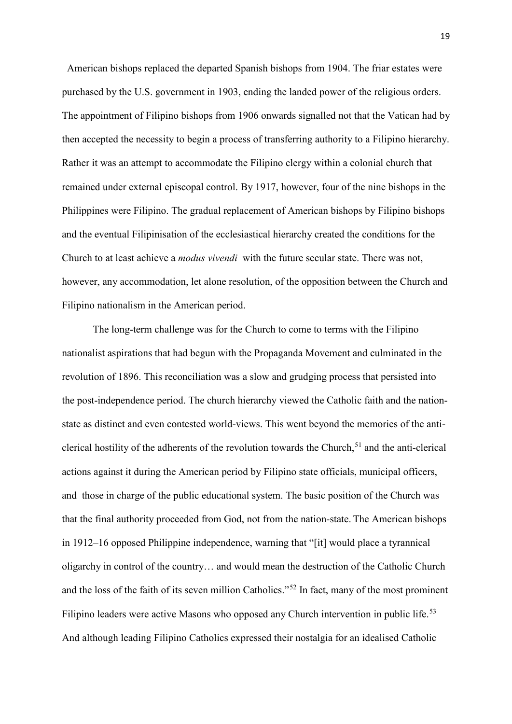American bishops replaced the departed Spanish bishops from 1904. The friar estates were purchased by the U.S. government in 1903, ending the landed power of the religious orders. The appointment of Filipino bishops from 1906 onwards signalled not that the Vatican had by then accepted the necessity to begin a process of transferring authority to a Filipino hierarchy. Rather it was an attempt to accommodate the Filipino clergy within a colonial church that remained under external episcopal control. By 1917, however, four of the nine bishops in the Philippines were Filipino. The gradual replacement of American bishops by Filipino bishops and the eventual Filipinisation of the ecclesiastical hierarchy created the conditions for the Church to at least achieve a *modus vivendi* with the future secular state. There was not, however, any accommodation, let alone resolution, of the opposition between the Church and Filipino nationalism in the American period.

The long-term challenge was for the Church to come to terms with the Filipino nationalist aspirations that had begun with the Propaganda Movement and culminated in the revolution of 1896. This reconciliation was a slow and grudging process that persisted into the post-independence period. The church hierarchy viewed the Catholic faith and the nationstate as distinct and even contested world-views. This went beyond the memories of the anticlerical hostility of the adherents of the revolution towards the Church, [51](#page-32-13) and the anti-clerical actions against it during the American period by Filipino state officials, municipal officers, and those in charge of the public educational system. The basic position of the Church was that the final authority proceeded from God, not from the nation-state. The American bishops in 1912–16 opposed Philippine independence, warning that "[it] would place a tyrannical oligarchy in control of the country… and would mean the destruction of the Catholic Church and the loss of the faith of its seven million Catholics."[52](#page-32-14) In fact, many of the most prominent Filipino leaders were active Masons who opposed any Church intervention in public life.<sup>[53](#page-32-15)</sup> And although leading Filipino Catholics expressed their nostalgia for an idealised Catholic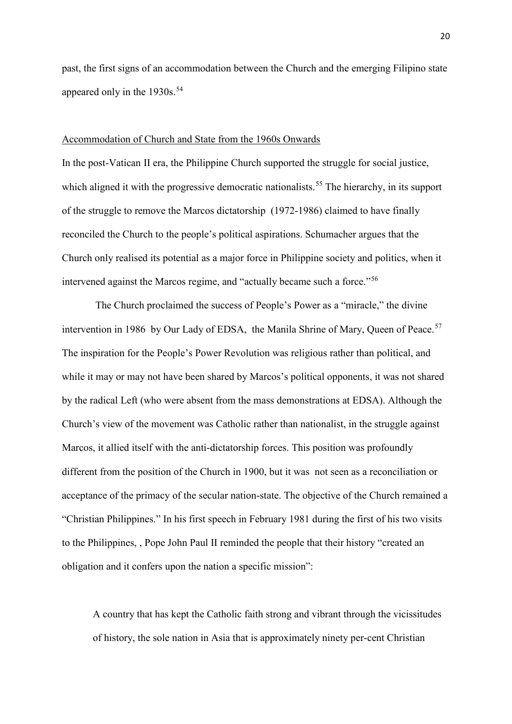past, the first signs of an accommodation between the Church and the emerging Filipino state appeared only in the  $1930s.^{54}$  $1930s.^{54}$  $1930s.^{54}$ 

#### Accommodation of Church and State from the 1960s Onwards

In the post-Vatican II era, the Philippine Church supported the struggle for social justice, which aligned it with the progressive democratic nationalists.<sup>[55](#page-32-17)</sup> The hierarchy, in its support of the struggle to remove the Marcos dictatorship (1972-1986) claimed to have finally reconciled the Church to the people's political aspirations. Schumacher argues that the Church only realised its potential as a major force in Philippine society and politics, when it intervened against the Marcos regime, and "actually became such a force."<sup>[56](#page-32-18)</sup>

The Church proclaimed the success of People's Power as a "miracle," the divine intervention in 1986 by Our Lady of EDSA, the Manila Shrine of Mary, Queen of Peace.<sup>[57](#page-32-19)</sup> The inspiration for the People's Power Revolution was religious rather than political, and while it may or may not have been shared by Marcos's political opponents, it was not shared by the radical Left (who were absent from the mass demonstrations at EDSA). Although the Church's view of the movement was Catholic rather than nationalist, in the struggle against Marcos, it allied itself with the anti-dictatorship forces. This position was profoundly different from the position of the Church in 1900, but it was not seen as a reconciliation or acceptance of the primacy of the secular nation-state. The objective of the Church remained a "Christian Philippines." In his first speech in February 1981 during the first of his two visits to the Philippines, , Pope John Paul II reminded the people that their history "created an obligation and it confers upon the nation a specific mission":

A country that has kept the Catholic faith strong and vibrant through the vicissitudes of history, the sole nation in Asia that is approximately ninety per-cent Christian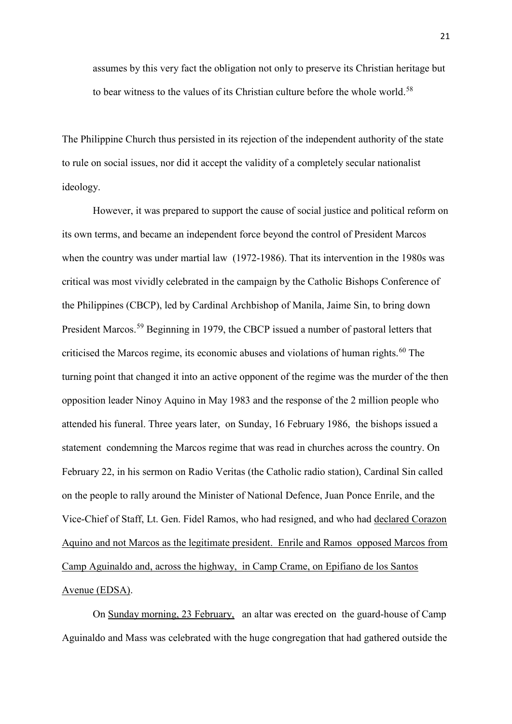assumes by this very fact the obligation not only to preserve its Christian heritage but to bear witness to the values of its Christian culture before the whole world.<sup>[58](#page-32-20)</sup>

The Philippine Church thus persisted in its rejection of the independent authority of the state to rule on social issues, nor did it accept the validity of a completely secular nationalist ideology.

However, it was prepared to support the cause of social justice and political reform on its own terms, and became an independent force beyond the control of President Marcos when the country was under martial law (1972-1986). That its intervention in the 1980s was critical was most vividly celebrated in the campaign by the Catholic Bishops Conference of the Philippines (CBCP), led by Cardinal Archbishop of Manila, Jaime Sin, to bring down President Marcos.<sup>[59](#page-32-21)</sup> Beginning in 1979, the CBCP issued a number of pastoral letters that criticised the Marcos regime, its economic abuses and violations of human rights. [60](#page-33-0) The turning point that changed it into an active opponent of the regime was the murder of the then opposition leader Ninoy Aquino in May 1983 and the response of the 2 million people who attended his funeral. Three years later, on Sunday, 16 February 1986, the bishops issued a statement condemning the Marcos regime that was read in churches across the country. On February 22, in his sermon on Radio Veritas (the Catholic radio station), Cardinal Sin called on the people to rally around the Minister of National Defence, Juan Ponce Enrile, and the Vice-Chief of Staff, Lt. Gen. Fidel Ramos, who had resigned, and who had declared Corazon Aquino and not Marcos as the legitimate president. Enrile and Ramos opposed Marcos from Camp Aguinaldo and, across the highway, in Camp Crame, on Epifiano de los Santos Avenue (EDSA).

On Sunday morning, 23 February, an altar was erected on the guard-house of Camp Aguinaldo and Mass was celebrated with the huge congregation that had gathered outside the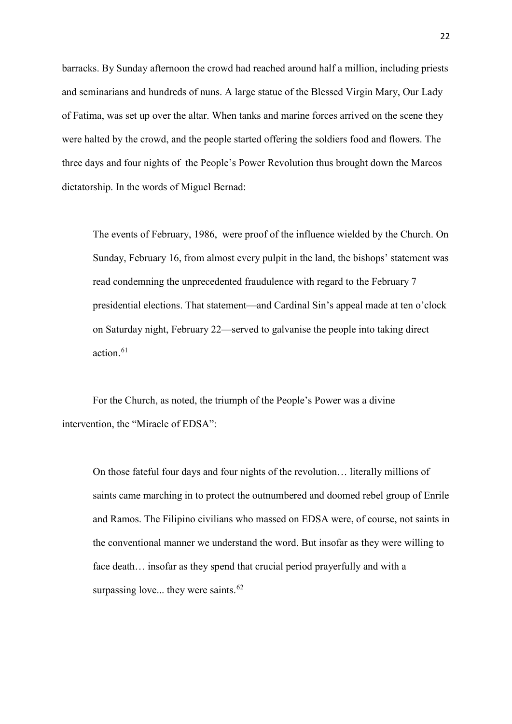barracks. By Sunday afternoon the crowd had reached around half a million, including priests and seminarians and hundreds of nuns. A large statue of the Blessed Virgin Mary, Our Lady of Fatima, was set up over the altar. When tanks and marine forces arrived on the scene they were halted by the crowd, and the people started offering the soldiers food and flowers. The three days and four nights of the People's Power Revolution thus brought down the Marcos dictatorship. In the words of Miguel Bernad:

The events of February, 1986, were proof of the influence wielded by the Church. On Sunday, February 16, from almost every pulpit in the land, the bishops' statement was read condemning the unprecedented fraudulence with regard to the February 7 presidential elections. That statement—and Cardinal Sin's appeal made at ten o'clock on Saturday night, February 22—served to galvanise the people into taking direct action. [61](#page-33-1)

For the Church, as noted, the triumph of the People's Power was a divine intervention, the "Miracle of EDSA":

On those fateful four days and four nights of the revolution… literally millions of saints came marching in to protect the outnumbered and doomed rebel group of Enrile and Ramos. The Filipino civilians who massed on EDSA were, of course, not saints in the conventional manner we understand the word. But insofar as they were willing to face death… insofar as they spend that crucial period prayerfully and with a surpassing love... they were saints.<sup>[62](#page-33-2)</sup>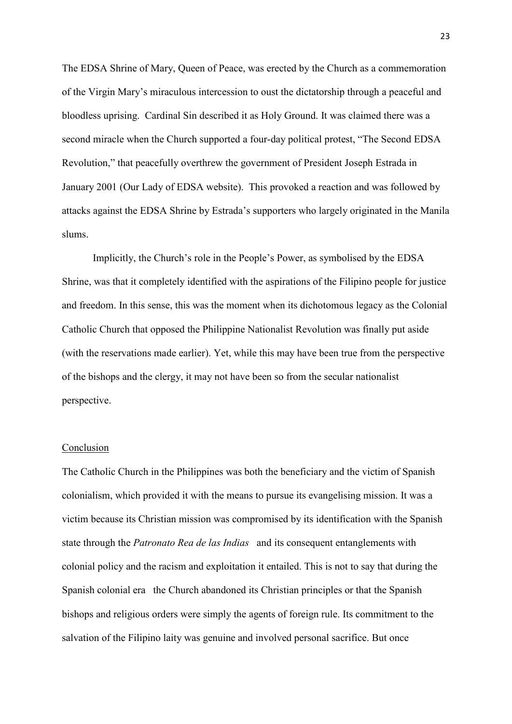The EDSA Shrine of Mary, Queen of Peace, was erected by the Church as a commemoration of the Virgin Mary's miraculous intercession to oust the dictatorship through a peaceful and bloodless uprising. Cardinal Sin described it as Holy Ground. It was claimed there was a second miracle when the Church supported a four-day political protest, "The Second EDSA Revolution," that peacefully overthrew the government of President Joseph Estrada in January 2001 (Our Lady of EDSA website). This provoked a reaction and was followed by attacks against the EDSA Shrine by Estrada's supporters who largely originated in the Manila slums.

Implicitly, the Church's role in the People's Power, as symbolised by the EDSA Shrine, was that it completely identified with the aspirations of the Filipino people for justice and freedom. In this sense, this was the moment when its dichotomous legacy as the Colonial Catholic Church that opposed the Philippine Nationalist Revolution was finally put aside (with the reservations made earlier). Yet, while this may have been true from the perspective of the bishops and the clergy, it may not have been so from the secular nationalist perspective.

# Conclusion

The Catholic Church in the Philippines was both the beneficiary and the victim of Spanish colonialism, which provided it with the means to pursue its evangelising mission. It was a victim because its Christian mission was compromised by its identification with the Spanish state through the *Patronato Rea de las Indias* and its consequent entanglements with colonial policy and the racism and exploitation it entailed. This is not to say that during the Spanish colonial era the Church abandoned its Christian principles or that the Spanish bishops and religious orders were simply the agents of foreign rule. Its commitment to the salvation of the Filipino laity was genuine and involved personal sacrifice. But once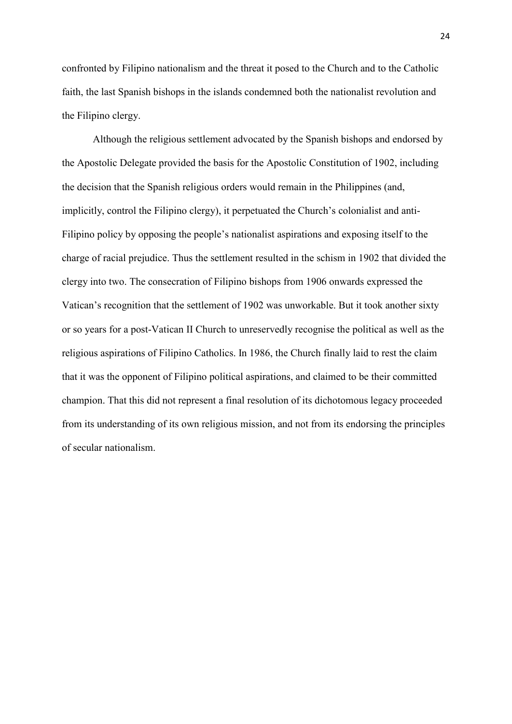confronted by Filipino nationalism and the threat it posed to the Church and to the Catholic faith, the last Spanish bishops in the islands condemned both the nationalist revolution and the Filipino clergy.

Although the religious settlement advocated by the Spanish bishops and endorsed by the Apostolic Delegate provided the basis for the Apostolic Constitution of 1902, including the decision that the Spanish religious orders would remain in the Philippines (and, implicitly, control the Filipino clergy), it perpetuated the Church's colonialist and anti-Filipino policy by opposing the people's nationalist aspirations and exposing itself to the charge of racial prejudice. Thus the settlement resulted in the schism in 1902 that divided the clergy into two. The consecration of Filipino bishops from 1906 onwards expressed the Vatican's recognition that the settlement of 1902 was unworkable. But it took another sixty or so years for a post-Vatican II Church to unreservedly recognise the political as well as the religious aspirations of Filipino Catholics. In 1986, the Church finally laid to rest the claim that it was the opponent of Filipino political aspirations, and claimed to be their committed champion. That this did not represent a final resolution of its dichotomous legacy proceeded from its understanding of its own religious mission, and not from its endorsing the principles of secular nationalism.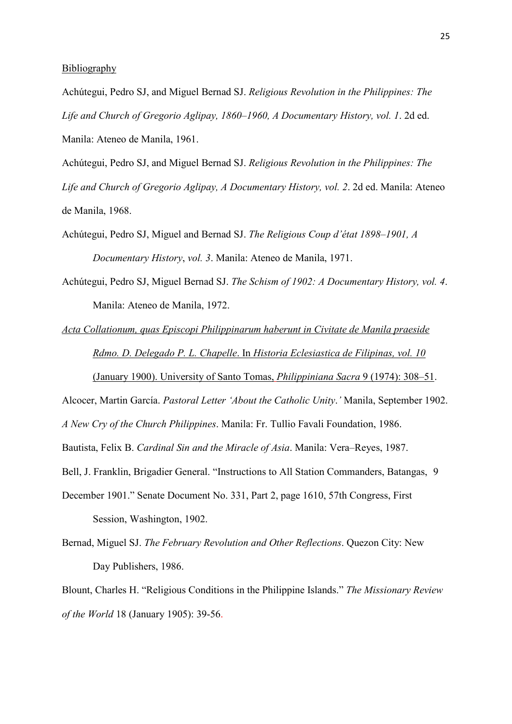# **Bibliography**

Achútegui, Pedro SJ, and Miguel Bernad SJ. *Religious Revolution in the Philippines: The Life and Church of Gregorio Aglipay, 1860–1960, A Documentary History, vol. 1*. 2d ed. Manila: Ateneo de Manila, 1961.

Achútegui, Pedro SJ, and Miguel Bernad SJ. *Religious Revolution in the Philippines: The Life and Church of Gregorio Aglipay, A Documentary History, vol. 2*. 2d ed. Manila: Ateneo de Manila, 1968.

- Achútegui, Pedro SJ, Miguel and Bernad SJ. *The Religious Coup d'état 1898–1901, A Documentary History*, *vol. 3*. Manila: Ateneo de Manila, 1971.
- Achútegui, Pedro SJ, Miguel Bernad SJ. *The Schism of 1902: A Documentary History, vol. 4*. Manila: Ateneo de Manila, 1972.

*Acta Collationum, quas Episcopi Philippinarum haberunt in Civitate de Manila praeside Rdmo. D. Delegado P. L. Chapelle*. In *Historia Eclesiastica de Filipinas, vol. 10* (January 1900). University of Santo Tomas, *Philippiniana Sacra* 9 (1974): 308–51.

Alcocer, Martin García. *Pastoral Letter 'About the Catholic Unity*.*'* Manila, September 1902.

*A New Cry of the Church Philippines*. Manila: Fr. Tullio Favali Foundation, 1986.

Bautista, Felix B. *Cardinal Sin and the Miracle of Asia*. Manila: Vera–Reyes, 1987.

- Bell, J. Franklin, Brigadier General. "Instructions to All Station Commanders, Batangas, 9
- December 1901." Senate Document No. 331, Part 2, page 1610, 57th Congress, First Session, Washington, 1902.
- Bernad, Miguel SJ. *The February Revolution and Other Reflections*. Quezon City: New Day Publishers, 1986.

Blount, Charles H. "Religious Conditions in the Philippine Islands." *The Missionary Review of the World* 18 (January 1905): 39-56.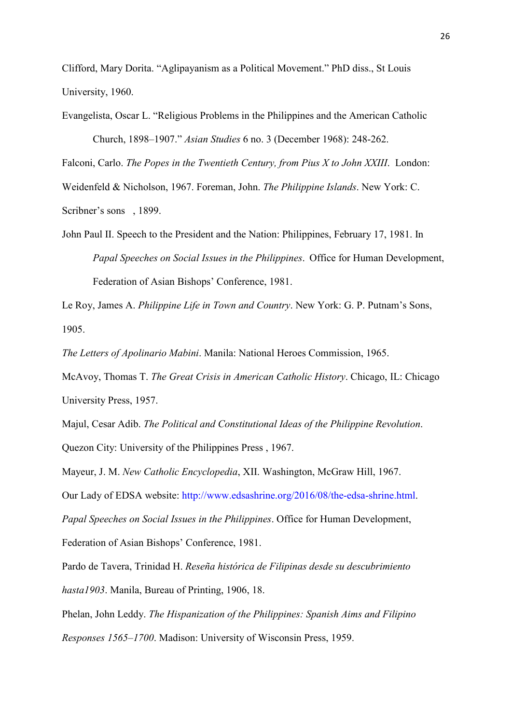Clifford, Mary Dorita. "Aglipayanism as a Political Movement." PhD diss., St Louis University, 1960.

Falconi, Carlo. *The Popes in the Twentieth Century, from Pius X to John XXIII*. London: Weidenfeld & Nicholson, 1967. Foreman, John. *The Philippine Islands*. New York: C. Scribner's sons , 1899.

John Paul II. Speech to the President and the Nation: Philippines, February 17, 1981. In *Papal Speeches on Social Issues in the Philippines*. Office for Human Development, Federation of Asian Bishops' Conference, 1981.

Le Roy, James A. *Philippine Life in Town and Country*. New York: G. P. Putnam's Sons, 1905.

*The Letters of Apolinario Mabini*. Manila: National Heroes Commission, 1965.

McAvoy, Thomas T. *The Great Crisis in American Catholic History*. Chicago, IL: Chicago University Press, 1957.

Majul, Cesar Adib. *The Political and Constitutional Ideas of the Philippine Revolution*.

Quezon City: University of the Philippines Press , 1967.

Mayeur, J. M. *New Catholic Encyclopedia*, XII. Washington, McGraw Hill, 1967.

Our Lady of EDSA website: [http://www.edsashrine.org/2016/08/the-edsa-shrine.html.](http://www.edsashrine.org/2016/08/the-edsa-shrine.html)

*Papal Speeches on Social Issues in the Philippines*. Office for Human Development,

Federation of Asian Bishops' Conference, 1981.

Pardo de Tavera, Trinidad H. *Reseña histórica de Filipinas desde su descubrimiento hasta1903*. Manila, Bureau of Printing, 1906, 18.

Phelan, John Leddy. *The Hispanization of the Philippines: Spanish Aims and Filipino Responses 1565–1700*. Madison: University of Wisconsin Press, 1959.

Evangelista, Oscar L. "Religious Problems in the Philippines and the American Catholic Church, 1898–1907." *Asian Studies* 6 no. 3 (December 1968): 248-262.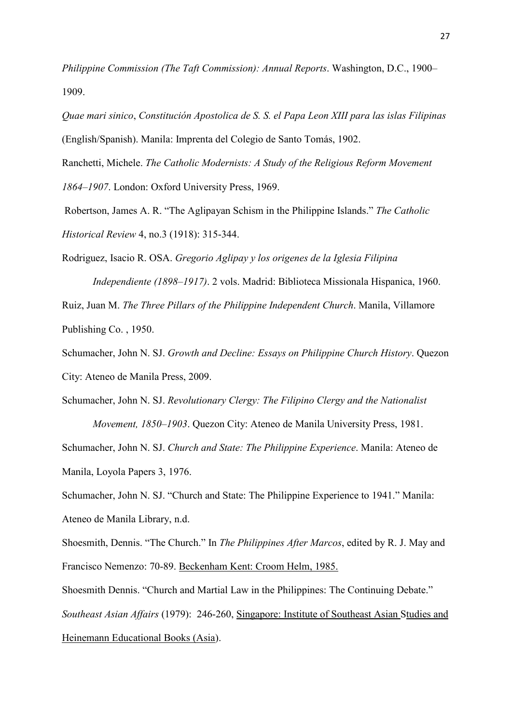*Philippine Commission (The Taft Commission): Annual Reports*. Washington, D.C., 1900– 1909.

*Quae mari sinico*, *Constitución Apostolica de S. S. el Papa Leon XIII para las islas Filipinas* (English/Spanish). Manila: Imprenta del Colegio de Santo Tomás, 1902.

Ranchetti, Michele. *The Catholic Modernists: A Study of the Religious Reform Movement 1864–1907*. London: Oxford University Press, 1969.

Robertson, James A. R. "The Aglipayan Schism in the Philippine Islands." *The Catholic Historical Review* 4, no.3 (1918): 315-344.

Rodriguez, Isacio R. OSA. *Gregorio Aglipay y los origenes de la Iglesia Filipina Independiente (1898–1917)*. 2 vols. Madrid: Biblioteca Missionala Hispanica, 1960. Ruiz, Juan M. *The Three Pillars of the Philippine Independent Church*. Manila, Villamore Publishing Co. , 1950.

Schumacher, John N. SJ. *Growth and Decline: Essays on Philippine Church History*. Quezon City: Ateneo de Manila Press, 2009.

Schumacher, John N. SJ. *Revolutionary Clergy: The Filipino Clergy and the Nationalist Movement, 1850–1903*. Quezon City: Ateneo de Manila University Press, 1981. Schumacher, John N. SJ. *Church and State: The Philippine Experience*. Manila: Ateneo de Manila, Loyola Papers 3, 1976.

Schumacher, John N. SJ. "Church and State: The Philippine Experience to 1941." Manila: Ateneo de Manila Library, n.d.

Shoesmith, Dennis. "The Church." In *The Philippines After Marcos*, edited by R. J. May and Francisco Nemenzo: 70-89. Beckenham Kent: Croom Helm, 1985.

Shoesmith Dennis. "Church and Martial Law in the Philippines: The Continuing Debate." *Southeast Asian Affairs* (1979): 246-260, Singapore: Institute of Southeast Asian Studies and Heinemann Educational Books (Asia).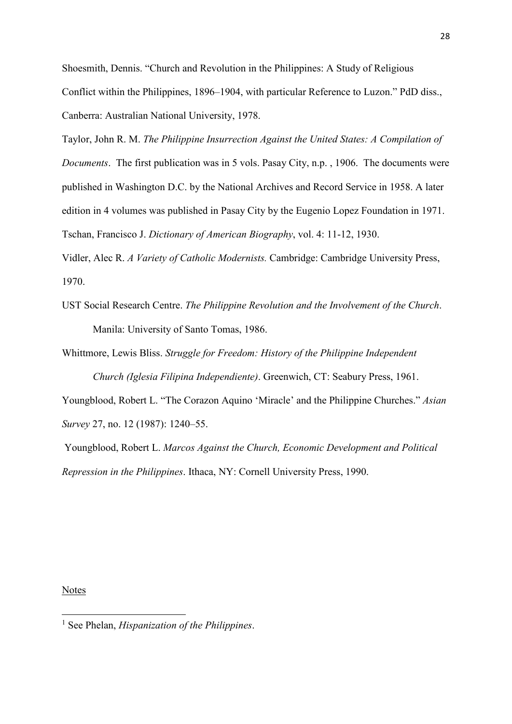Shoesmith, Dennis. "Church and Revolution in the Philippines: A Study of Religious Conflict within the Philippines, 1896–1904, with particular Reference to Luzon." PdD diss., Canberra: Australian National University, 1978.

Taylor, John R. M. *The Philippine Insurrection Against the United States: A Compilation of Documents*. The first publication was in 5 vols. Pasay City, n.p. , 1906. The documents were published in Washington D.C. by the National Archives and Record Service in 1958. A later edition in 4 volumes was published in Pasay City by the Eugenio Lopez Foundation in 1971. Tschan, Francisco J. *Dictionary of American Biography*, vol. 4: 11-12, 1930.

Vidler, Alec R. *A Variety of Catholic Modernists.* Cambridge: Cambridge University Press, 1970.

UST Social Research Centre. *The Philippine Revolution and the Involvement of the Church*. Manila: University of Santo Tomas, 1986.

Whittmore, Lewis Bliss. *Struggle for Freedom: History of the Philippine Independent Church (Iglesia Filipina Independiente)*. Greenwich, CT: Seabury Press, 1961.

Youngblood, Robert L. "The Corazon Aquino 'Miracle' and the Philippine Churches." *Asian Survey* 27, no. 12 (1987): 1240–55.

Youngblood, Robert L. *Marcos Against the Church, Economic Development and Political Repression in the Philippines*. Ithaca, NY: Cornell University Press, 1990.

#### Notes

<u>.</u>

<span id="page-29-0"></span><sup>1</sup> See Phelan, *Hispanization of the Philippines*.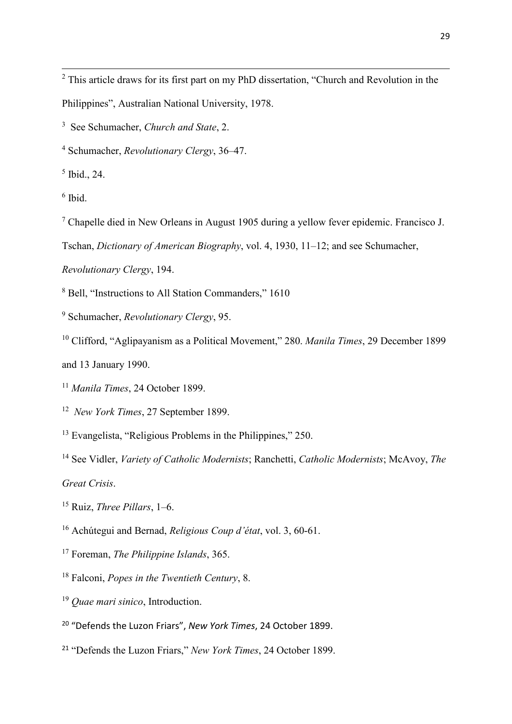<span id="page-30-0"></span> This article draws for its first part on my PhD dissertation, "Church and Revolution in the Philippines", Australian National University, 1978.

<span id="page-30-1"></span>See Schumacher, *Church and State*, 2.

<span id="page-30-2"></span>Schumacher, *Revolutionary Clergy*, 36–47.

<span id="page-30-3"></span>Ibid., 24.

<span id="page-30-4"></span>Ibid.

<u>.</u>

<span id="page-30-5"></span>Chapelle died in New Orleans in August 1905 during a yellow fever epidemic. Francisco J.

Tschan, *Dictionary of American Biography*, vol. 4, 1930, 11–12; and see Schumacher,

*Revolutionary Clergy*, 194.

<span id="page-30-6"></span>Bell, "Instructions to All Station Commanders," 1610

<span id="page-30-7"></span>Schumacher, *Revolutionary Clergy*, 95.

<span id="page-30-8"></span>Clifford, "Aglipayanism as a Political Movement," 280. *Manila Times*, 29 December 1899

and 13 January 1990.

<span id="page-30-9"></span>*Manila Times*, 24 October 1899.

<span id="page-30-10"></span>*New York Times*, 27 September 1899.

<span id="page-30-11"></span><sup>13</sup> Evangelista, "Religious Problems in the Philippines," 250.

<span id="page-30-12"></span> See Vidler, *Variety of Catholic Modernists*; Ranchetti, *Catholic Modernists*; McAvoy, *The Great Crisis*.

<span id="page-30-13"></span>Ruiz, *Three Pillars*, 1–6.

<span id="page-30-14"></span>Achútegui and Bernad, *Religious Coup d'état*, vol. 3, 60-61.

- <span id="page-30-15"></span>Foreman, *The Philippine Islands*, 365.
- <span id="page-30-16"></span>Falconi, *Popes in the Twentieth Century*, 8.
- <span id="page-30-17"></span>*Quae mari sinico*, Introduction.
- <span id="page-30-18"></span>"Defends the Luzon Friars", *New York Times*, 24 October 1899.
- <span id="page-30-19"></span>"Defends the Luzon Friars," *New York Times*, 24 October 1899.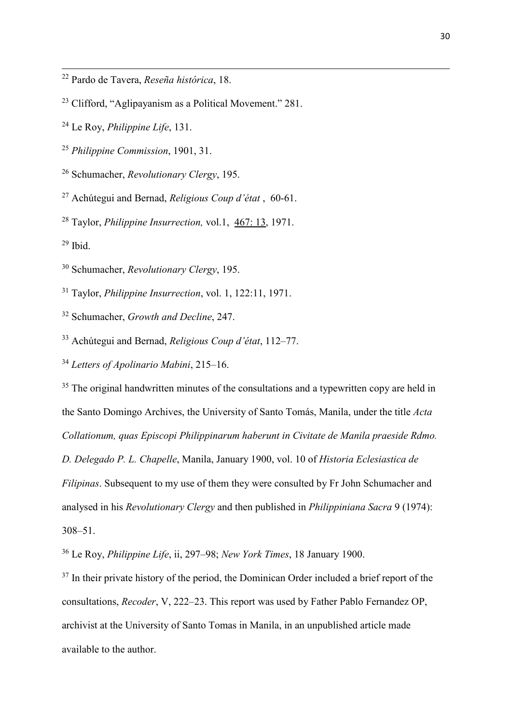- <span id="page-31-0"></span><sup>22</sup> Pardo de Tavera, *Reseña histórica*, 18.
- <span id="page-31-1"></span><sup>23</sup> Clifford, "Aglipayanism as a Political Movement." 281.
- <span id="page-31-2"></span><sup>24</sup> Le Roy, *Philippine Life*, 131.
- <span id="page-31-3"></span><sup>25</sup> *Philippine Commission*, 1901, 31.
- <span id="page-31-4"></span><sup>26</sup> Schumacher, *Revolutionary Clergy*, 195.
- <span id="page-31-5"></span><sup>27</sup> Achútegui and Bernad, *Religious Coup d'état* , 60-61.
- <span id="page-31-6"></span><sup>28</sup> Taylor, *Philippine Insurrection,* vol.1,467: 13, 1971.
- <span id="page-31-7"></span> $29$  Ibid.

<u>.</u>

- <span id="page-31-8"></span><sup>30</sup> Schumacher, *Revolutionary Clergy*, 195.
- <span id="page-31-9"></span><sup>31</sup> Taylor, *Philippine Insurrection*, vol. 1, 122:11, 1971.
- <span id="page-31-10"></span><sup>32</sup> Schumacher, *Growth and Decline*, 247.
- <span id="page-31-11"></span><sup>33</sup> Achútegui and Bernad, *Religious Coup d'état*, 112–77.
- <span id="page-31-12"></span><sup>34</sup> *Letters of Apolinario Mabini*, 215–16.

<span id="page-31-13"></span> $35$  The original handwritten minutes of the consultations and a typewritten copy are held in the Santo Domingo Archives, the University of Santo Tomás, Manila, under the title *Acta Collationum, quas Episcopi Philippinarum haberunt in Civitate de Manila praeside Rdmo. D. Delegado P. L. Chapelle*, Manila, January 1900, vol. 10 of *Historia Eclesiastica de Filipinas*. Subsequent to my use of them they were consulted by Fr John Schumacher and analysed in his *Revolutionary Clergy* and then published in *Philippiniana Sacra* 9 (1974): 308–51.

<span id="page-31-14"></span><sup>36</sup> Le Roy, *Philippine Life*, ii, 297–98; *New York Times*, 18 January 1900.

<span id="page-31-15"></span><sup>37</sup> In their private history of the period, the Dominican Order included a brief report of the consultations, *Recoder*, V, 222–23. This report was used by Father Pablo Fernandez OP, archivist at the University of Santo Tomas in Manila, in an unpublished article made available to the author.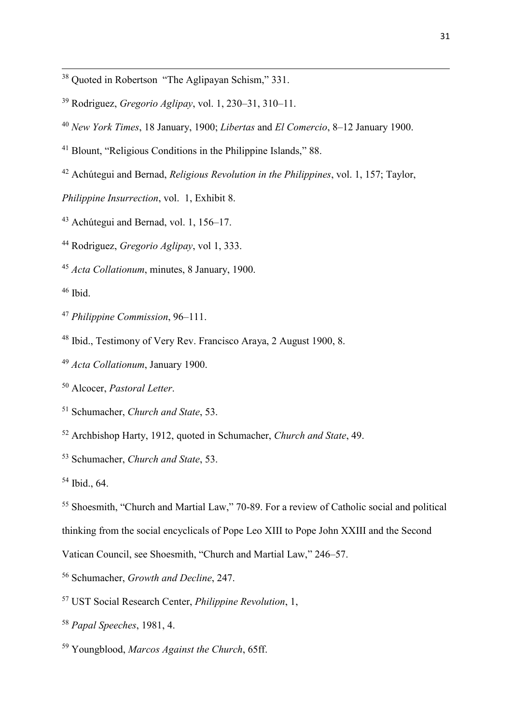- <span id="page-32-0"></span><sup>38</sup> Quoted in Robertson "The Aglipayan Schism," 331.
- <span id="page-32-1"></span>Rodriguez, *Gregorio Aglipay*, vol. 1, 230–31, 310–11.
- <span id="page-32-2"></span>*New York Times*, 18 January, 1900; *Libertas* and *El Comercio*, 8–12 January 1900.
- <span id="page-32-3"></span><sup>41</sup> Blount, "Religious Conditions in the Philippine Islands," 88.
- <span id="page-32-4"></span>Achútegui and Bernad, *Religious Revolution in the Philippines*, vol. 1, 157; Taylor,

*Philippine Insurrection*, vol.1, Exhibit 8.

<span id="page-32-5"></span>Achútegui and Bernad, vol. 1, 156–17.

<span id="page-32-6"></span>Rodriguez, *Gregorio Aglipay*, vol 1, 333.

<span id="page-32-7"></span>*Acta Collationum*, minutes, 8 January, 1900.

<span id="page-32-8"></span>Ibid.

<u>.</u>

- <span id="page-32-9"></span>*Philippine Commission*, 96–111.
- <span id="page-32-10"></span>Ibid., Testimony of Very Rev. Francisco Araya, 2 August 1900, 8.
- <span id="page-32-11"></span>*Acta Collationum*, January 1900.
- <span id="page-32-12"></span>Alcocer, *Pastoral Letter*.

<span id="page-32-13"></span>Schumacher, *Church and State*, 53.

- <span id="page-32-14"></span>Archbishop Harty, 1912, quoted in Schumacher, *Church and State*, 49.
- <span id="page-32-15"></span>Schumacher, *Church and State*, 53.
- <span id="page-32-16"></span>Ibid., 64.

<span id="page-32-17"></span> Shoesmith, "Church and Martial Law," 70-89. For a review of Catholic social and political thinking from the social encyclicals of Pope Leo XIII to Pope John XXIII and the Second

Vatican Council, see Shoesmith, "Church and Martial Law," 246–57.

- <span id="page-32-18"></span>Schumacher, *Growth and Decline*, 247.
- <span id="page-32-19"></span>UST Social Research Center, *Philippine Revolution*, 1,
- <span id="page-32-20"></span>*Papal Speeches*, 1981, 4.
- <span id="page-32-21"></span>Youngblood, *Marcos Against the Church*, 65ff.